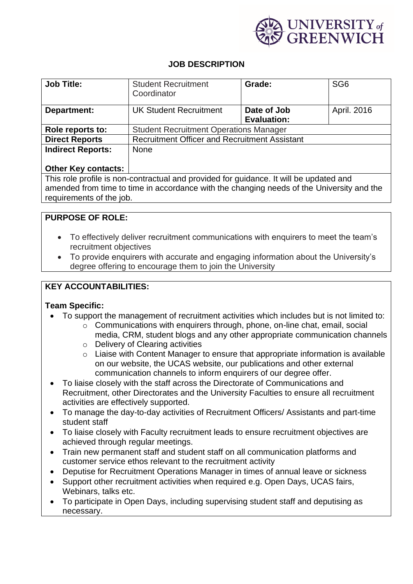

# **JOB DESCRIPTION**

| <b>Job Title:</b>        | <b>Student Recruitment</b><br>Coordinator            | Grade:                            | SG <sub>6</sub> |
|--------------------------|------------------------------------------------------|-----------------------------------|-----------------|
| Department:              | <b>UK Student Recruitment</b>                        | Date of Job<br><b>Evaluation:</b> | April. 2016     |
| Role reports to:         | <b>Student Recruitment Operations Manager</b>        |                                   |                 |
| <b>Direct Reports</b>    | <b>Recruitment Officer and Recruitment Assistant</b> |                                   |                 |
| <b>Indirect Reports:</b> | None                                                 |                                   |                 |

#### **Other Key contacts:**

This role profile is non-contractual and provided for guidance. It will be updated and amended from time to time in accordance with the changing needs of the University and the requirements of the job.

# **PURPOSE OF ROLE:**

- To effectively deliver recruitment communications with enquirers to meet the team's recruitment objectives
- To provide enquirers with accurate and engaging information about the University's degree offering to encourage them to join the University

# **KEY ACCOUNTABILITIES:**

#### **Team Specific:**

- To support the management of recruitment activities which includes but is not limited to:
	- o Communications with enquirers through, phone, on-line chat, email, social media, CRM, student blogs and any other appropriate communication channels
	- o Delivery of Clearing activities
	- $\circ$  Liaise with Content Manager to ensure that appropriate information is available on our website, the UCAS website, our publications and other external communication channels to inform enquirers of our degree offer.
- To liaise closely with the staff across the Directorate of Communications and Recruitment, other Directorates and the University Faculties to ensure all recruitment activities are effectively supported.
- To manage the day-to-day activities of Recruitment Officers/ Assistants and part-time student staff
- To liaise closely with Faculty recruitment leads to ensure recruitment objectives are achieved through regular meetings.
- Train new permanent staff and student staff on all communication platforms and customer service ethos relevant to the recruitment activity
- Deputise for Recruitment Operations Manager in times of annual leave or sickness
- Support other recruitment activities when required e.g. Open Days, UCAS fairs, Webinars, talks etc.
- To participate in Open Days, including supervising student staff and deputising as necessary.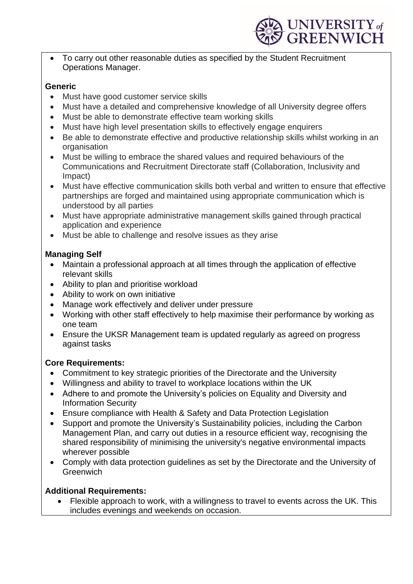

• To carry out other reasonable duties as specified by the Student Recruitment Operations Manager.

#### **Generic**

- Must have good customer service skills
- Must have a detailed and comprehensive knowledge of all University degree offers
- Must be able to demonstrate effective team working skills
- Must have high level presentation skills to effectively engage enquirers
- Be able to demonstrate effective and productive relationship skills whilst working in an organisation
- Must be willing to embrace the shared values and required behaviours of the Communications and Recruitment Directorate staff (Collaboration, Inclusivity and Impact)
- Must have effective communication skills both verbal and written to ensure that effective partnerships are forged and maintained using appropriate communication which is understood by all parties
- Must have appropriate administrative management skills gained through practical application and experience
- Must be able to challenge and resolve issues as they arise

# **Managing Self**

- Maintain a professional approach at all times through the application of effective relevant skills
- Ability to plan and prioritise workload
- Ability to work on own initiative
- Manage work effectively and deliver under pressure
- Working with other staff effectively to help maximise their performance by working as one team
- Ensure the UKSR Management team is updated regularly as agreed on progress against tasks

# **Core Requirements:**

- Commitment to key strategic priorities of the Directorate and the University
- Willingness and ability to travel to workplace locations within the UK
- Adhere to and promote the University's policies on Equality and Diversity and Information Security
- Ensure compliance with Health & Safety and Data Protection Legislation
- Support and promote the University's Sustainability policies, including the Carbon Management Plan, and carry out duties in a resource efficient way, recognising the shared responsibility of minimising the university's negative environmental impacts wherever possible
- Comply with data protection guidelines as set by the Directorate and the University of **Greenwich**

# **Additional Requirements:**

• Flexible approach to work, with a willingness to travel to events across the UK. This includes evenings and weekends on occasion.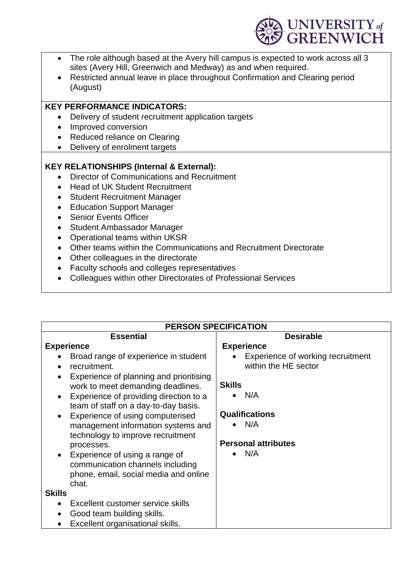

- The role although based at the Avery hill campus is expected to work across all 3 sites (Avery Hill, Greenwich and Medway) as and when required.
- Restricted annual leave in place throughout Confirmation and Clearing period (August)

#### **KEY PERFORMANCE INDICATORS:**

- Delivery of student recruitment application targets
- Improved conversion
- Reduced reliance on Clearing
- Delivery of enrolment targets

# **KEY RELATIONSHIPS (Internal & External):**

- Director of Communications and Recruitment
- Head of UK Student Recruitment
- Student Recruitment Manager
- Education Support Manager
- Senior Events Officer
- Student Ambassador Manager
- Operational teams within UKSR
- Other teams within the Communications and Recruitment Directorate
- Other colleagues in the directorate
- Faculty schools and colleges representatives
- Colleagues within other Directorates of Professional Services

| <b>PERSON SPECIFICATION</b>                                                                                                                                                                                                                                                                                                                                                                                                                                                                                                                                                                         |                                                                                                                                                        |  |  |
|-----------------------------------------------------------------------------------------------------------------------------------------------------------------------------------------------------------------------------------------------------------------------------------------------------------------------------------------------------------------------------------------------------------------------------------------------------------------------------------------------------------------------------------------------------------------------------------------------------|--------------------------------------------------------------------------------------------------------------------------------------------------------|--|--|
| <b>Essential</b>                                                                                                                                                                                                                                                                                                                                                                                                                                                                                                                                                                                    | <b>Desirable</b>                                                                                                                                       |  |  |
| <b>Experience</b>                                                                                                                                                                                                                                                                                                                                                                                                                                                                                                                                                                                   | <b>Experience</b>                                                                                                                                      |  |  |
| Broad range of experience in student<br>recruitment.<br>Experience of planning and prioritising<br>work to meet demanding deadlines.<br>Experience of providing direction to a<br>team of staff on a day-to-day basis.<br>Experience of using computerised<br>management information systems and<br>technology to improve recruitment<br>processes.<br>Experience of using a range of<br>communication channels including<br>phone, email, social media and online<br>chat.<br><b>Skills</b><br>Excellent customer service skills<br>Good team building skills.<br>Excellent organisational skills. | Experience of working recruitment<br>within the HE sector<br><b>Skills</b><br>N/A<br><b>Qualifications</b><br>N/A<br><b>Personal attributes</b><br>N/A |  |  |